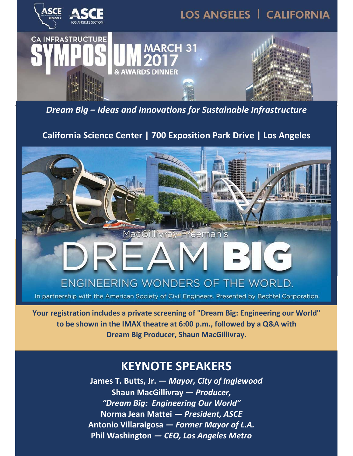

*Dream Big – Ideas and Innovations for Sustainable Infrastructure*

### **California Science Center | 700 Exposition Park Drive | Los Angeles**





In partnership with the American Society of Civil Engineers. Presented by Bechtel Corporation.

**Your registration includes a private screening of "Dream Big: Engineering our World" to be shown in the IMAX theatre at 6:00 p.m., followed by a Q&A with Dream Big Producer, Shaun MacGillivray.** 

## **KEYNOTE SPEAKERS**

**James T. Butts, Jr.** *— Mayor, City of Inglewood* **Shaun MacGillivray** *— Producer, "Dream Big: Engineering Our World"* **Norma Jean Mattei** *— President, ASCE*  **Antonio Villaraigosa** *— Former Mayor of L.A.*  **Phil Washington** *— CEO, Los Angeles Metro*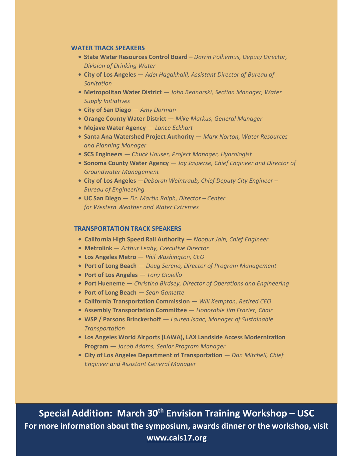#### **WATER TRACK SPEAKERS**

- **• State Water Resources Control Board** *Darrin Polhemus, Deputy Director, Division of Drinking Water*
- **• City of Los Angeles**  *Adel Hagakhalil, Assistant Director of Bureau of Sanitation*
- **• Metropolitan Water District** *John Bednarski, Section Manager, Water Supply Initiatives*
- **• City of San Diego** *Amy Dorman*
- **• Orange County Water District**  *Mike Markus, General Manager*
- **• Mojave Water Agency** *Lance Eckhart*
- **• Santa Ana Watershed Project Authority**  *Mark Norton, Water Resources and Planning Manager*
- **• SCS Engineers** *Chuck Houser, Project Manager, Hydrologist*
- **• Sonoma County Water Agency** *Jay Jasperse, Chief Engineer and Director of Groundwater Management*
- **• City of Los Angeles** *—Deborah Weintraub, Chief Deputy City Engineer Bureau of Engineering*
- **• UC San Diego** *Dr. Martin Ralph, Director Center for Western Weather and Water Extremes*

#### **TRANSPORTATION TRACK SPEAKERS**

- **• California High Speed Rail Authority**  *Noopur Jain, Chief Engineer*
- **• Metrolink**  *Arthur Leahy, Executive Director*
- **• Los Angeles Metro**  *Phil Washington, CEO*
- **• Port of Long Beach**  *Doug Sereno, Director of Program Management*
- **• Port of Los Angeles**  *Tony Gioiello*
- **• Port Hueneme**  *Christina Birdsey, Director of Operations and Engineering*
- **• Port of Long Beach**  *Sean Gamette*
- **• California Transportation Commission**  *Will Kempton, Retired CEO*
- **• Assembly Transportation Committee**  *Honorable Jim Frazier, Chair*
- **• WSP / Parsons Brinckerhoff** *Lauren Isaac, Manager of Sustainable Transportation*
- **• Los Angeles World Airports (LAWA), LAX Landside Access Modernization Program** *— Jacob Adams, Senior Program Manager*
- **• City of Los Angeles Department of Transportation**  *Dan Mitchell, Chief Engineer and Assistant General Manager*

**Special Addition: March 30<sup>th</sup> Envision Training Workshop - USC For more information about the symposium, awards dinner or the workshop, visit www.cais17.org**